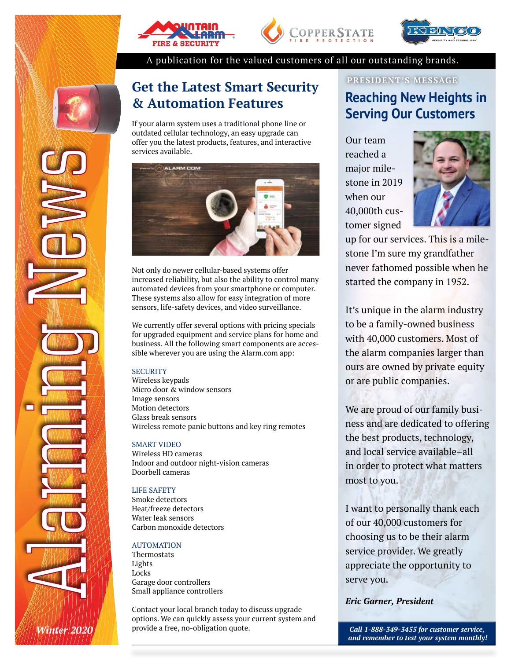





A publication for the valued customers of all our outstanding brands.

## **Get the Latest Smart Security & Automation Features**

If your alarm system uses a traditional phone line or outdated cellular technology, an easy upgrade can offer you the latest products, features, and interactive services available.



Not only do newer cellular-based systems offer increased reliability, but also the ability to control many automated devices from your smartphone or computer. These systems also allow for easy integration of more sensors, life-safety devices, and video surveillance.

We currently offer several options with pricing specials for upgraded equipment and service plans for home and business. All the following smart components are accessible wherever you are using the Alarm.com app:

#### **SECURITY**

Wireless keypads Micro door & window sensors Image sensors Motion detectors Glass break sensors Wireless remote panic buttons and key ring remotes

#### SMART VIDEO

Wireless HD cameras Indoor and outdoor night-vision cameras Doorbell cameras

#### LIFE SAFETY

Smoke detectors Heat/freeze detectors Water leak sensors Carbon monoxide detectors

#### AUTOMATION

*Winter 2020*

Thermostats Lights Locks Garage door controllers Small appliance controllers

Contact your local branch today to discuss upgrade options. We can quickly assess your current system and provide a free, no-obligation quote.

### **PRESIDENT'S MESSAGE Reaching New Heights in Serving Our Customers**

Our team reached a major milestone in 2019 when our 40,000th customer signed



up for our services. This is a milestone I'm sure my grandfather never fathomed possible when he started the company in 1952.

It's unique in the alarm industry to be a family-owned business with 40,000 customers. Most of the alarm companies larger than ours are owned by private equity or are public companies.

We are proud of our family business and are dedicated to offering the best products, technology, and local service available–all in order to protect what matters most to you.

I want to personally thank each of our 40,000 customers for choosing us to be their alarm service provider. We greatly appreciate the opportunity to serve you.

#### *Eric Garner, President*

*Call 1-888-349-3455 for customer service, and remember to test your system monthly!*